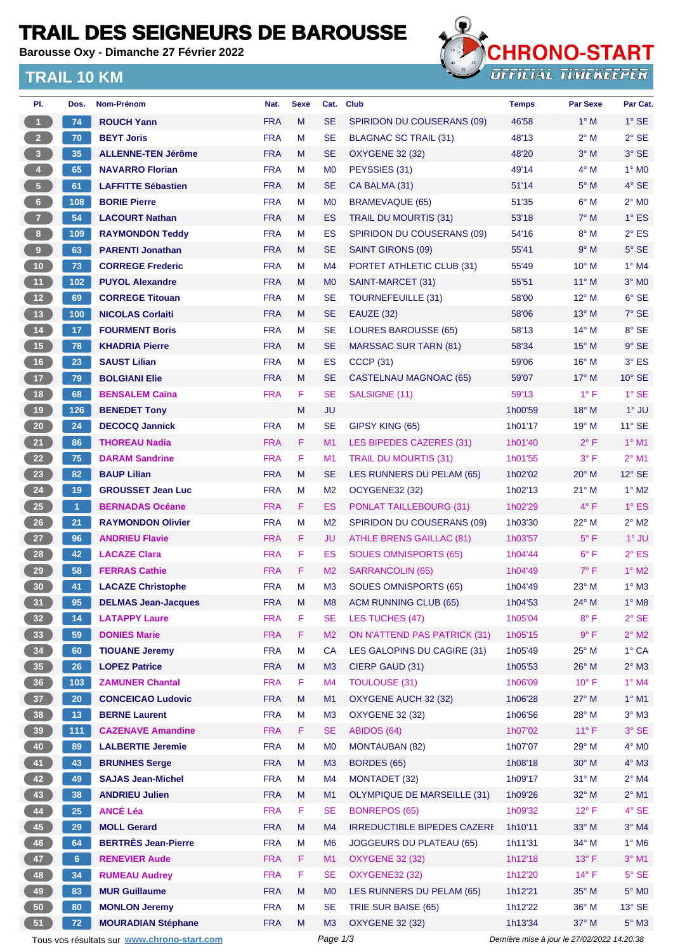# **TRAIL DES SEIGNEURS DE BAROUSSE**

**Barousse Oxy - Dimanche 27 Février 2022**

### **TRAIL 10 KM**



| PI.                                                                                                    | Dos.                 | Nom-Prénom                                   | Nat.       | <b>Sexe</b> | Cat.           | <b>Club</b>                         | <b>Temps</b> | <b>Par Sexe</b> | Par Cat.                 |
|--------------------------------------------------------------------------------------------------------|----------------------|----------------------------------------------|------------|-------------|----------------|-------------------------------------|--------------|-----------------|--------------------------|
| $\mathbf{1}$                                                                                           | 74                   | <b>ROUCH Yann</b>                            | <b>FRA</b> | M           | <b>SE</b>      | SPIRIDON DU COUSERANS (09)          | 46'58        | $1^\circ$ M     | $1^\circ$ SE             |
| 2 <sup>7</sup>                                                                                         | 70                   | <b>BEYT Joris</b>                            | <b>FRA</b> | M           | <b>SE</b>      | <b>BLAGNAC SC TRAIL (31)</b>        | 48'13        | $2^{\circ}$ M   | $2°$ SE                  |
| $\overline{\mathbf{3}}$                                                                                | 35                   | <b>ALLENNE-TEN Jérôme</b>                    | <b>FRA</b> | M           | <b>SE</b>      | <b>OXYGENE 32 (32)</b>              | 48'20        | $3^\circ$ M     | $3^\circ$ SE             |
| $\overline{4}$                                                                                         | 65                   | <b>NAVARRO Florian</b>                       | <b>FRA</b> | M           | M <sub>0</sub> | PEYSSIES (31)                       | 49'14        | $4^\circ$ M     | $1^\circ$ MO             |
| 5 <sub>1</sub>                                                                                         | 61                   | <b>LAFFITTE Sébastien</b>                    | <b>FRA</b> | M           | <b>SE</b>      | CA BALMA (31)                       | 51'14        | $5^\circ$ M     | $4^\circ$ SE             |
| $6-1$                                                                                                  | 108                  | <b>BORIE Pierre</b>                          | <b>FRA</b> | M           | M <sub>0</sub> | <b>BRAMEVAQUE (65)</b>              | 51'35        | $6^\circ$ M     | $2^{\circ}$ MO           |
| 7 <sup>2</sup>                                                                                         | 54                   | <b>LACOURT Nathan</b>                        | <b>FRA</b> | M           | ES             | TRAIL DU MOURTIS (31)               | 53'18        | $7^\circ$ M     | $1^\circ$ ES             |
| 8                                                                                                      | 109                  | <b>RAYMONDON Teddy</b>                       | <b>FRA</b> | M           | ES             | SPIRIDON DU COUSERANS (09)          | 54'16        | $8^\circ$ M     | $2^{\circ}$ ES           |
| $\mathbf 9$                                                                                            | 63                   | <b>PARENTI Jonathan</b>                      | <b>FRA</b> | M           | <b>SE</b>      | <b>SAINT GIRONS (09)</b>            | 55'41        | 9° M            | $5^\circ$ SE             |
| 10                                                                                                     | 73                   | <b>CORREGE Frederic</b>                      | <b>FRA</b> | M           | M4             | PORTET ATHLETIC CLUB (31)           | 55'49        | $10^{\circ}$ M  | $1^\circ$ M4             |
| 11                                                                                                     | 102                  | <b>PUYOL Alexandre</b>                       | <b>FRA</b> | M           | M <sub>0</sub> | SAINT-MARCET (31)                   | 55'51        | $11^{\circ}$ M  | $3^\circ$ MO             |
| $12$                                                                                                   | 69                   | <b>CORREGE Titouan</b>                       | <b>FRA</b> | M           | <b>SE</b>      | <b>TOURNEFEUILLE (31)</b>           | 58'00        | $12^{\circ}$ M  | $6°$ SE                  |
| 13                                                                                                     | 100                  | <b>NICOLAS Corlaiti</b>                      | <b>FRA</b> | M           | <b>SE</b>      | <b>EAUZE (32)</b>                   | 58'06        | 13° M           | $7°$ SE                  |
| $14$                                                                                                   | 17                   | <b>FOURMENT Boris</b>                        | <b>FRA</b> | M           | <b>SE</b>      | <b>LOURES BAROUSSE (65)</b>         | 58'13        | $14^{\circ}$ M  | 8° SE                    |
| 15                                                                                                     | 78                   | <b>KHADRIA Pierre</b>                        | <b>FRA</b> | M           | <b>SE</b>      | <b>MARSSAC SUR TARN (81)</b>        | 58'34        | $15^{\circ}$ M  | $9°$ SE                  |
| 16                                                                                                     | 23                   | <b>SAUST Lilian</b>                          | <b>FRA</b> | M           | ES             | CCCP(31)                            | 59'06        | $16^{\circ}$ M  | $3°$ ES                  |
| 17 <sub>2</sub>                                                                                        | 79                   | <b>BOLGIANI Elie</b>                         | <b>FRA</b> | M           | <b>SE</b>      | <b>CASTELNAU MAGNOAC (65)</b>       | 59'07        | $17^\circ$ M    | $10^{\circ}$ SE          |
| 18                                                                                                     | 68                   | <b>BENSALEM Caïna</b>                        | <b>FRA</b> | F           | <b>SE</b>      | SALSIGNE (11)                       | 59'13        | $1^{\circ}$ F   | $1°$ SE                  |
| 19                                                                                                     | 126                  | <b>BENEDET Tony</b>                          |            | M           | <b>JU</b>      |                                     | 1h00'59      | $18^{\circ}$ M  | $1^\circ$ JU             |
| $20\,$                                                                                                 | 24                   | <b>DECOCQ Jannick</b>                        | <b>FRA</b> | M           | <b>SE</b>      | GIPSY KING (65)                     | 1h01'17      | $19^{\circ}$ M  | $11^{\circ}$ SE          |
| 21                                                                                                     | 86                   | <b>THOREAU Nadia</b>                         | <b>FRA</b> | F           | M <sub>1</sub> | LES BIPEDES CAZERES (31)            | 1h01'40      | $2^{\circ}$ F   | $1^\circ$ M1             |
| 22                                                                                                     | 75                   | <b>DARAM Sandrine</b>                        | <b>FRA</b> | F           | M1             | <b>TRAIL DU MOURTIS (31)</b>        | 1h01'55      | $3^{\circ}$ F   | $2^{\circ}$ M1           |
| 23                                                                                                     | 82                   | <b>BAUP Lilian</b>                           | <b>FRA</b> | M           | <b>SE</b>      | LES RUNNERS DU PELAM (65)           | 1h02'02      | $20^\circ$ M    | $12^{\circ}$ SE          |
| 24                                                                                                     | 19                   | <b>GROUSSET Jean Luc</b>                     | <b>FRA</b> | M           | M <sub>2</sub> | OCYGENE32 (32)                      | 1h02'13      | $21°$ M         | $1^\circ$ M2             |
| <b>25</b>                                                                                              | $\blacktriangleleft$ | <b>BERNADAS Océane</b>                       | <b>FRA</b> | F           | ES             | <b>PONLAT TAILLEBOURG (31)</b>      | 1h02'29      | $4^{\circ}$ F   | $1^\circ$ ES             |
| 26                                                                                                     | 21                   | <b>RAYMONDON Olivier</b>                     | <b>FRA</b> | M           | M <sub>2</sub> | SPIRIDON DU COUSERANS (09)          | 1h03'30      | $22^{\circ}$ M  | $2^{\circ}$ M2           |
| 27                                                                                                     | 96                   | <b>ANDRIEU Flavie</b>                        | <b>FRA</b> | F           | <b>JU</b>      | <b>ATHLE BRENS GAILLAC (81)</b>     | 1h03'57      | $5^{\circ}$ F   | $1^\circ$ JU             |
| 28                                                                                                     | 42                   | <b>LACAZE Clara</b>                          | <b>FRA</b> | F           | ES             | <b>SOUES OMNISPORTS (65)</b>        | 1h04'44      | $6^{\circ}$ F   | $2^{\circ}$ ES           |
| 29                                                                                                     | 58                   | <b>FERRAS Cathie</b>                         | <b>FRA</b> | F           | M <sub>2</sub> | <b>SARRANCOLIN (65)</b>             | 1h04'49      | $7^{\circ}$ F   | $1^\circ$ M2             |
| 30                                                                                                     | 41                   | <b>LACAZE Christophe</b>                     | <b>FRA</b> | M           | M <sub>3</sub> | SOUES OMNISPORTS (65)               | 1h04'49      | $23^{\circ}$ M  | $1^\circ$ M3             |
| 31                                                                                                     | 95                   | <b>DELMAS Jean-Jacques</b>                   | <b>FRA</b> | M           | M <sub>8</sub> | <b>ACM RUNNING CLUB (65)</b>        | 1h04'53      | 24° M           | $1^\circ$ M <sub>8</sub> |
| 32 <sup>°</sup>                                                                                        | 14                   | <b>LATAPPY Laure</b>                         | <b>FRA</b> | F           | <b>SE</b>      | <b>LES TUCHES (47)</b>              | 1h05'04      | $8^{\circ}$ F   | $2°$ SE                  |
| 33                                                                                                     | 59                   | <b>DONIES Marie</b>                          | <b>FRA</b> | F           | M <sub>2</sub> | <b>ON N'ATTEND PAS PATRICK (31)</b> | 1h05'15      | 9° F            | $2^{\circ}$ M2           |
| 34                                                                                                     | 60                   | <b>TIOUANE Jeremy</b>                        | <b>FRA</b> | M           | <b>CA</b>      | LES GALOPINS DU CAGIRE (31)         | 1h05'49      | $25^{\circ}$ M  | 1° CA                    |
| 35 <sub>5</sub>                                                                                        | 26                   | <b>LOPEZ Patrice</b>                         | <b>FRA</b> | M           | M3             | CIERP GAUD (31)                     | 1h05'53      | $26^{\circ}$ M  | $2^{\circ}$ M3           |
| 36                                                                                                     | 103                  | <b>ZAMUNER Chantal</b>                       | <b>FRA</b> | F           | M4             | <b>TOULOUSE (31)</b>                | 1h06'09      | $10^{\circ}$ F  | $1^\circ$ M4             |
| 37 <sup>°</sup>                                                                                        | 20                   | <b>CONCEICAO Ludovic</b>                     | <b>FRA</b> | M           | M1             | OXYGENE AUCH 32 (32)                | 1h06'28      | $27^\circ$ M    | $1^\circ$ M1             |
| 38                                                                                                     | 13                   | <b>BERNE Laurent</b>                         | <b>FRA</b> | M           | M <sub>3</sub> | <b>OXYGENE 32 (32)</b>              | 1h06'56      | 28° M           | $3^\circ$ M3             |
| 39                                                                                                     | 111                  | <b>CAZENAVE Amandine</b>                     | <b>FRA</b> | F           | <b>SE</b>      | ABIDOS (64)                         | 1h07'02      | $11^{\circ}$ F  | 3° SE                    |
| 40                                                                                                     | 89                   | <b>LALBERTIE Jeremie</b>                     | <b>FRA</b> | M           | M <sub>0</sub> | <b>MONTAUBAN (82)</b>               | 1h07'07      | 29° M           | 4° MO                    |
| 41                                                                                                     | 43                   | <b>BRUNHES Serge</b>                         | <b>FRA</b> | M           | M3             | <b>BORDES</b> (65)                  | 1h08'18      | $30^\circ$ M    | $4^\circ$ M3             |
| 42                                                                                                     | 49                   | <b>SAJAS Jean-Michel</b>                     | <b>FRA</b> | M           | M <sub>4</sub> | <b>MONTADET (32)</b>                | 1h09'17      | $31°$ M         | $2^{\circ}$ M4           |
| 43                                                                                                     | 38                   | <b>ANDRIEU Julien</b>                        | <b>FRA</b> | M           | M1             | <b>OLYMPIQUE DE MARSEILLE (31)</b>  | 1h09'26      | 32° M           | $2^{\circ}$ M1           |
| 44                                                                                                     | 25                   | <b>ANCÉ Léa</b>                              | <b>FRA</b> | F           | <b>SE</b>      | BONREPOS (65)                       | 1h09'32      | $12^{\circ}$ F  | $4^\circ$ SE             |
| 45                                                                                                     | 29                   | <b>MOLL Gerard</b>                           | <b>FRA</b> | M           | M4             | <b>IRREDUCTIBLE BIPEDES CAZERE</b>  | 1h10'11      | 33° M           | $3^\circ$ M4             |
| 46                                                                                                     | 64                   | <b>BERTRÈS Jean-Pierre</b>                   | <b>FRA</b> | M           | M <sub>6</sub> | <b>JOGGEURS DU PLATEAU (65)</b>     | 1h11'31      | 34° M           | $1^\circ$ M6             |
| 47                                                                                                     |                      |                                              | <b>FRA</b> | F.          | M1             | <b>OXYGENE 32 (32)</b>              | 1h12'18      | $13^\circ$ F    | $3°$ M1                  |
| 48                                                                                                     | 6 <sup>1</sup><br>34 | <b>RENEVIER Aude</b><br><b>RUMEAU Audrey</b> | <b>FRA</b> | F           | <b>SE</b>      | OXYGENE32 (32)                      | 1h12'20      | $14^{\circ}$ F  | $5^\circ$ SE             |
|                                                                                                        | 83                   | <b>MUR Guillaume</b>                         | <b>FRA</b> | M           | M <sub>0</sub> | LES RUNNERS DU PELAM (65)           | 1h12'21      | 35° M           | $5^\circ$ MO             |
| 49<br>${\bf 50}$                                                                                       | 80                   | <b>MONLON Jeremy</b>                         | <b>FRA</b> | M           | <b>SE</b>      | TRIE SUR BAISE (65)                 | 1h12'22      | 36° M           | $13^\circ$ SE            |
| 51                                                                                                     |                      |                                              | <b>FRA</b> | M           | M3             |                                     | 1h13'34      | 37° M           | $5^\circ$ M3             |
|                                                                                                        | 72                   | <b>MOURADIAN Stéphane</b>                    |            |             |                | <b>OXYGENE 32 (32)</b>              |              |                 |                          |
| Page 1/3<br>Dernière mise à jour le 27/02/2022 14:20:38<br>Tous vos résultats sur www.chrono-start.com |                      |                                              |            |             |                |                                     |              |                 |                          |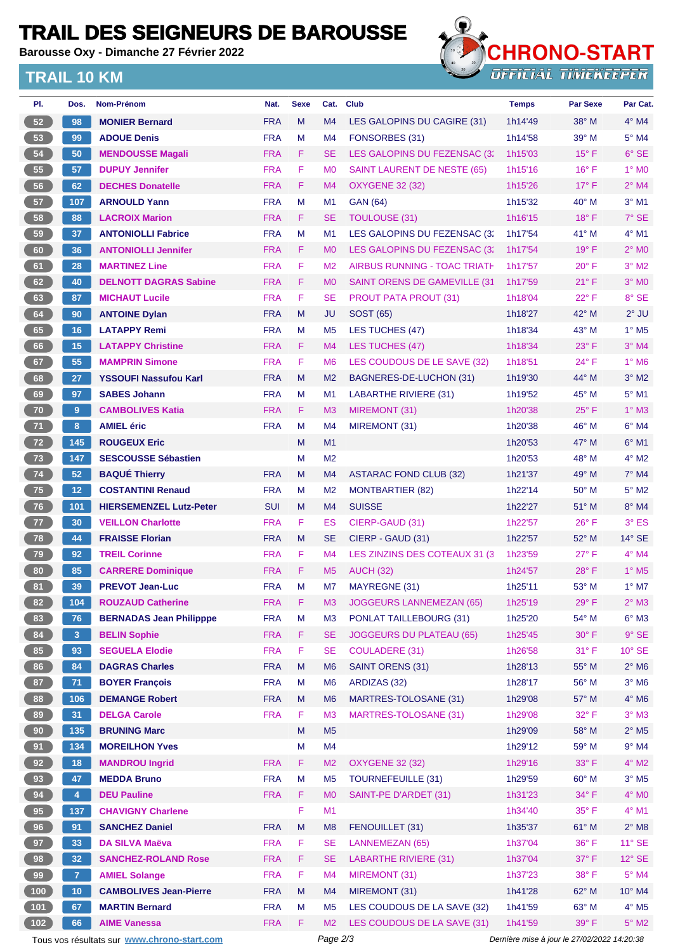# **TRAIL DES SEIGNEURS DE BAROUSSE**

**Barousse Oxy - Dimanche 27 Février 2022**

#### **TRAIL 10 KM**



| PI.             | Dos.                              | Nom-Prénom                                            | Nat.                     | <b>Sexe</b> |                                  | Cat. Club                            | <b>Temps</b>       | <b>Par Sexe</b> | Par Cat.                   |
|-----------------|-----------------------------------|-------------------------------------------------------|--------------------------|-------------|----------------------------------|--------------------------------------|--------------------|-----------------|----------------------------|
| 52              | 98                                | <b>MONIER Bernard</b>                                 | <b>FRA</b>               | M           | M <sub>4</sub>                   | LES GALOPINS DU CAGIRE (31)          | 1h14'49            | $38^\circ$ M    | $4^\circ$ M4               |
| 53              | 99                                | <b>ADOUE Denis</b>                                    | <b>FRA</b>               | M           | M4                               | FONSORBES (31)                       | 1h14'58            | 39° M           | 5° M4                      |
| 54              | 50                                | <b>MENDOUSSE Magali</b>                               | <b>FRA</b>               | F           | <b>SE</b>                        | LES GALOPINS DU FEZENSAC (3)         | 1h15'03            | $15^{\circ}$ F  | $6^{\circ}$ SE             |
| 55              | 57                                | <b>DUPUY Jennifer</b>                                 | <b>FRA</b>               | F           | M <sub>0</sub>                   | <b>SAINT LAURENT DE NESTE (65)</b>   | 1h15'16            | $16^{\circ}$ F  | 1° MO                      |
| 56              | 62                                | <b>DECHES Donatelle</b>                               | <b>FRA</b>               | F.          | M <sub>4</sub>                   | <b>OXYGENE 32 (32)</b>               | 1h15'26            | $17^\circ$ F    | $2°$ M4                    |
| 57              | 107                               | <b>ARNOULD Yann</b>                                   | <b>FRA</b>               | M           | M <sub>1</sub>                   | <b>GAN (64)</b>                      | 1h15'32            | 40° M           | $3°$ M1                    |
| 58              | 88                                | <b>LACROIX Marion</b>                                 | <b>FRA</b>               | F.          | <b>SE</b>                        | <b>TOULOUSE (31)</b>                 | 1h16'15            | $18^{\circ}$ F  | 7° SE                      |
| 59              | 37                                | <b>ANTONIOLLI Fabrice</b>                             | <b>FRA</b>               | M           | M1                               | LES GALOPINS DU FEZENSAC (3)         | 1h17'54            | 41° M           | 4° M1                      |
| 60              | 36                                | <b>ANTONIOLLI Jennifer</b>                            | <b>FRA</b>               | F           | M <sub>0</sub>                   | LES GALOPINS DU FEZENSAC (3)         | 1h17'54            | $19^\circ$ F    | $2^{\circ}$ MO             |
| 61              | 28                                | <b>MARTINEZ Line</b>                                  | <b>FRA</b>               | F           | M <sub>2</sub>                   | <b>AIRBUS RUNNING - TOAC TRIATH</b>  | 1h17'57            | $20^{\circ}$ F  | $3°$ M2                    |
| 62              | 40                                | <b>DELNOTT DAGRAS Sabine</b>                          | <b>FRA</b>               | F           | M <sub>0</sub>                   | <b>SAINT ORENS DE GAMEVILLE (31)</b> | 1h17'59            | 21° F           | $3°$ MO                    |
| 63              | 87                                | <b>MICHAUT Lucile</b>                                 | <b>FRA</b>               | F           | <b>SE</b>                        | <b>PROUT PATA PROUT (31)</b>         | 1h18'04            | $22^{\circ}$ F  | 8° SE                      |
| 64              | 90                                | <b>ANTOINE Dylan</b>                                  | <b>FRA</b>               | M           | JU                               | <b>SOST (65)</b>                     | 1h18'27            | 42° M           | $2°$ JU                    |
| 65              | 16                                | <b>LATAPPY Remi</b>                                   | <b>FRA</b>               | М           | M <sub>5</sub>                   | LES TUCHES (47)                      | 1h18'34            | $43^\circ$ M    | $1^\circ$ M <sub>5</sub>   |
| 66              | 15                                | <b>LATAPPY Christine</b>                              | <b>FRA</b>               | F.          | M <sub>4</sub>                   | <b>LES TUCHES (47)</b>               | 1h18'34            | $23^\circ$ F    | $3°$ M4                    |
| 67              | 55                                | <b>MAMPRIN Simone</b>                                 | <b>FRA</b>               | F           | M <sub>6</sub>                   | LES COUDOUS DE LE SAVE (32)          | 1h18'51            | $24^{\circ}$ F  | 1° M6                      |
| 68              | 27                                | <b>YSSOUFI Nassufou Karl</b>                          | <b>FRA</b>               | M           | M <sub>2</sub>                   | BAGNERES-DE-LUCHON (31)              | 1h19'30            | $44^{\circ}$ M  | $3°$ M2                    |
| 69              | 97                                | <b>SABES Johann</b>                                   | <b>FRA</b>               | M           | M1                               | <b>LABARTHE RIVIERE (31)</b>         | 1h19'52            | 45° M           | $5^\circ$ M1               |
| 70              | 9                                 | <b>CAMBOLIVES Katia</b>                               | <b>FRA</b>               | F.          | M <sub>3</sub>                   | MIREMONT (31)                        | 1h20'38            | $25^{\circ}$ F  | $1^\circ$ M3               |
| 71              | 8                                 | <b>AMIEL éric</b>                                     | <b>FRA</b>               | M           | M <sub>4</sub>                   | MIREMONT (31)                        | 1h20'38            | 46° M           | $6°$ M4                    |
| 72              | 145                               | <b>ROUGEUX Eric</b>                                   |                          | M           | M1                               |                                      | 1h20'53            | $47^\circ$ M    | $6°$ M1                    |
| 73              | 147                               | <b>SESCOUSSE Sébastien</b>                            |                          | М           | M <sub>2</sub>                   |                                      | 1h20'53            | 48° M           | 4° M2                      |
| 74              | 52                                | <b>BAQUÉ Thierry</b>                                  | <b>FRA</b>               | M           | M <sub>4</sub>                   | <b>ASTARAC FOND CLUB (32)</b>        | 1h21'37            | $49^\circ$ M    | $7^\circ$ M4               |
| 75              | $12$                              | <b>COSTANTINI Renaud</b>                              | <b>FRA</b>               | М           | M <sub>2</sub>                   | <b>MONTBARTIER (82)</b>              | 1h22'14            | 50° M           | $5^\circ$ M2               |
| 76              | 101                               | <b>HIERSEMENZEL Lutz-Peter</b>                        | <b>SUI</b>               | M           | M4                               | <b>SUISSE</b>                        | 1h22'27            | $51^\circ$ M    | 8° M4                      |
| 77              | 30                                | <b>VEILLON Charlotte</b>                              | <b>FRA</b>               | F           | ES                               | CIERP-GAUD (31)                      | 1h22'57            | $26^{\circ}$ F  | $3°$ ES                    |
| 78              | 44                                | <b>FRAISSE Florian</b>                                | <b>FRA</b>               | M           | <b>SE</b>                        | CIERP - GAUD (31)                    | 1h22'57            | $52^{\circ}$ M  | $14^\circ$ SE              |
| 79              | 92                                | <b>TREIL Corinne</b>                                  | <b>FRA</b>               | F           | M <sub>4</sub>                   | LES ZINZINS DES COTEAUX 31 (3)       | 1h23'59            | $27^\circ$ F    | $4^\circ$ M4               |
| 80              | 85                                | <b>CARRERE Dominique</b>                              | <b>FRA</b>               | F.          | M <sub>5</sub>                   | <b>AUCH (32)</b>                     | 1h24'57            | $28^{\circ}$ F  | $1^\circ$ M <sub>5</sub>   |
| 81              | 39                                | <b>PREVOT Jean-Luc</b>                                | <b>FRA</b>               | M           | M7                               | MAYREGNE (31)                        | 1h25'11            | 53° M           | $1^\circ$ M7               |
| 82              | 104                               | <b>ROUZAUD Catherine</b>                              | <b>FRA</b>               | F           | M <sub>3</sub>                   | <b>JOGGEURS LANNEMEZAN (65)</b>      | 1h25'19            | 29° F           | $2^{\circ}$ M3             |
| 83              | 76                                | <b>BERNADAS Jean Philipppe</b>                        | <b>FRA</b>               | M           | M3                               | <b>PONLAT TAILLEBOURG (31)</b>       | 1h25'20            | 54° M           | $6^\circ$ M3               |
| 84              | 3 <sup>1</sup>                    | <b>BELIN Sophie</b>                                   | <b>FRA</b>               | F           | <b>SE</b>                        | <b>JOGGEURS DU PLATEAU (65)</b>      | 1h25'45            | $30^\circ$ F    | $9°$ SE                    |
| 85              | 93                                | <b>SEGUELA Elodie</b>                                 | <b>FRA</b>               | F           | <b>SE</b>                        | <b>COULADERE (31)</b>                | 1h26'58            | 31° F           | 10° SE                     |
| 86              | 84                                | <b>DAGRAS Charles</b>                                 | <b>FRA</b>               | M           | M <sub>6</sub>                   | SAINT ORENS (31)                     | 1h28'13            | 55° M           | $2^{\circ}$ M6             |
| 87              | 71                                | <b>BOYER François</b>                                 | <b>FRA</b>               | M           | M <sub>6</sub>                   | ARDIZAS (32)                         | 1h28'17            | 56° M           | $3°$ M <sub>6</sub>        |
| 88              | 106                               | <b>DEMANGE Robert</b>                                 | <b>FRA</b>               | M           | M <sub>6</sub>                   | MARTRES-TOLOSANE (31)                | 1h29'08            | 57° M           | $4^\circ$ M6               |
| 89              | 31                                | <b>DELGA Carole</b>                                   | <b>FRA</b>               | F.          | M <sub>3</sub>                   | MARTRES-TOLOSANE (31)                | 1h29'08            | 32°F            | $3°$ M $3$                 |
| 90 <sub>o</sub> | 135                               | <b>BRUNING Marc</b>                                   |                          | M           | M <sub>5</sub>                   |                                      | 1h29'09            | 58° M           | $2^{\circ}$ M <sub>5</sub> |
| 91              | 134                               | <b>MOREILHON Yves</b>                                 |                          | М           | M4                               |                                      | 1h29'12            | 59° M           | $9°$ M4                    |
| 92              | $18$                              | <b>MANDROU Ingrid</b>                                 | <b>FRA</b>               | F           | M <sub>2</sub>                   | <b>OXYGENE 32 (32)</b>               | 1h29'16            | $33^\circ$ F    | $4^\circ$ M2               |
| 93              | 47                                | <b>MEDDA Bruno</b>                                    | <b>FRA</b>               | M           | M <sub>5</sub>                   | <b>TOURNEFEUILLE (31)</b>            | 1h29'59            | 60° M           | $3°$ M <sub>5</sub>        |
| 94              | 4                                 | <b>DEU Pauline</b>                                    | <b>FRA</b>               | F.          | M <sub>0</sub>                   | SAINT-PE D'ARDET (31)                | 1h31'23            | $34^\circ$ F    | $4^\circ$ MO               |
| 95              | 137                               | <b>CHAVIGNY Charlene</b>                              |                          | F           | M1                               |                                      | 1h34'40            | $35^{\circ}$ F  | $4^{\circ}$ M1             |
| 96              | 91                                | <b>SANCHEZ Daniel</b>                                 | <b>FRA</b>               | M           | M <sub>8</sub>                   | FENOUILLET (31)                      | 1h35'37            | $61^\circ$ M    | $2^{\circ}$ M <sub>8</sub> |
| 97              | 33                                | <b>DA SILVA Maëva</b>                                 | <b>FRA</b>               | F           | <b>SE</b>                        | <b>LANNEMEZAN (65)</b>               | 1h37'04            | $36^{\circ}$ F  | 11° SE                     |
| 98              | 32                                | <b>SANCHEZ-ROLAND Rose</b>                            | <b>FRA</b>               | F<br>F      | <b>SE</b>                        | <b>LABARTHE RIVIERE (31)</b>         | 1h37'04            | $37^\circ$ F    | $12^{\circ}$ SE            |
| 99              | $\overline{7}$<br>10 <sub>1</sub> | <b>AMIEL Solange</b><br><b>CAMBOLIVES Jean-Pierre</b> | <b>FRA</b><br><b>FRA</b> | M           | M <sub>4</sub><br>M <sub>4</sub> | MIREMONT (31)<br>MIREMONT (31)       | 1h37'23<br>1h41'28 | 38°F<br>62° M   | 5° M4<br>10° M4            |
| (100)<br>(101)  | 67                                | <b>MARTIN Bernard</b>                                 | <b>FRA</b>               | M           | M <sub>5</sub>                   | LES COUDOUS DE LA SAVE (32)          | 1h41'59            | 63° M           | $4^\circ$ M5               |
| $102$           | 66                                | <b>AIME Vanessa</b>                                   | <b>FRA</b>               | F           | M <sub>2</sub>                   | LES COUDOUS DE LA SAVE (31)          | 1h41'59            | $39^\circ$ F    | $5^\circ$ M2               |
|                 |                                   |                                                       |                          |             |                                  |                                      |                    |                 |                            |

Tous vos résultats sur **[www.chrono-start.com](https://www.chrono-start.com/)** Page 2/3 Page 2/3 Dernière mise à jour le 27/02/2022 14:20:38